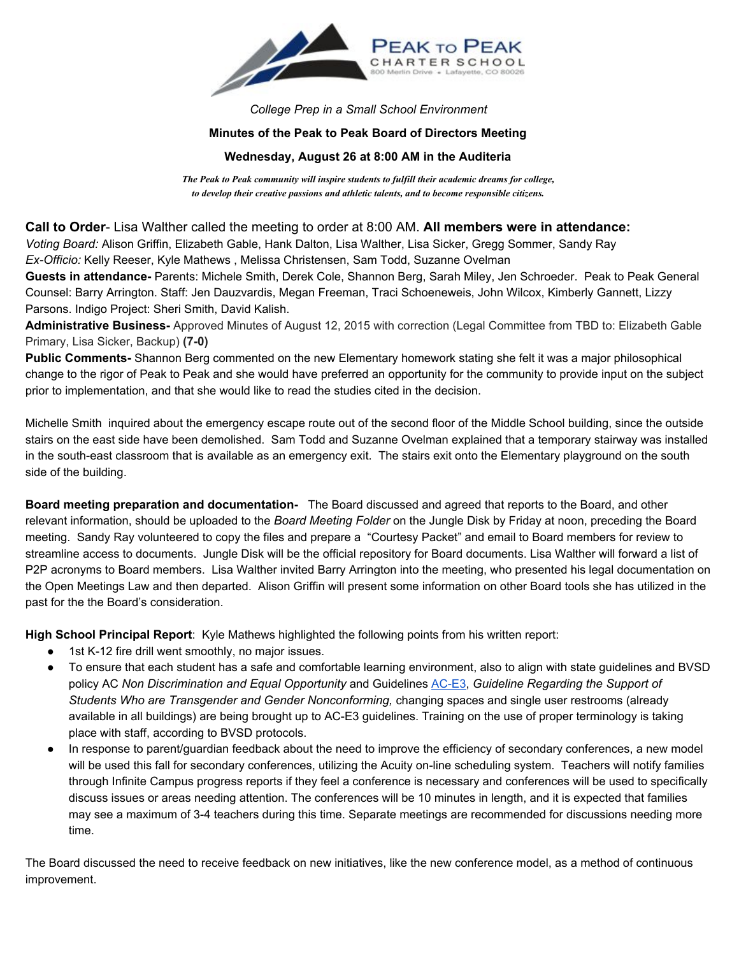

*College Prep in a Small School Environment*

## **Minutes of the Peak to Peak Board of Directors Meeting**

## **Wednesday, August 26 at 8:00 AM in the Auditeria**

*The Peak to Peak community will inspire students to fulfill their academic dreams for college, to develop their creative passions and athletic talents, and to become responsible citizens.*

**Call to Order** Lisa Walther called the meeting to order at 8:00 AM. **All members were in attendance:**

*Voting Board:* Alison Griffin, Elizabeth Gable, Hank Dalton, Lisa Walther, Lisa Sicker, Gregg Sommer, Sandy Ray

*ExOfficio:* Kelly Reeser, Kyle Mathews , Melissa Christensen, Sam Todd, Suzanne Ovelman

**Guests in attendance-** Parents: Michele Smith, Derek Cole, Shannon Berg, Sarah Miley, Jen Schroeder. Peak to Peak General Counsel: Barry Arrington. Staff: Jen Dauzvardis, Megan Freeman, Traci Schoeneweis, John Wilcox, Kimberly Gannett, Lizzy Parsons. Indigo Project: Sheri Smith, David Kalish.

Administrative Business-Approved Minutes of August 12, 2015 with correction (Legal Committee from TBD to: Elizabeth Gable Primary, Lisa Sicker, Backup) (7-0)

**Public Comments** Shannon Berg commented on the new Elementary homework stating she felt it was a major philosophical change to the rigor of Peak to Peak and she would have preferred an opportunity for the community to provide input on the subject prior to implementation, and that she would like to read the studies cited in the decision.

Michelle Smith inquired about the emergency escape route out of the second floor of the Middle School building, since the outside stairs on the east side have been demolished. Sam Todd and Suzanne Ovelman explained that a temporary stairway was installed in the south-east classroom that is available as an emergency exit. The stairs exit onto the Elementary playground on the south side of the building.

**Board meeting preparation and documentation** The Board discussed and agreed that reports to the Board, and other relevant information, should be uploaded to the *Board Meeting Folder* on the Jungle Disk by Friday at noon, preceding the Board meeting. Sandy Ray volunteered to copy the files and prepare a "Courtesy Packet" and email to Board members for review to streamline access to documents. Jungle Disk will be the official repository for Board documents. Lisa Walther will forward a list of P2P acronyms to Board members. Lisa Walther invited Barry Arrington into the meeting, who presented his legal documentation on the Open Meetings Law and then departed. Alison Griffin will present some information on other Board tools she has utilized in the past for the the Board's consideration.

**High School Principal Report**: Kyle Mathews highlighted the following points from his written report:

- 1st K-12 fire drill went smoothly, no major issues.
- To ensure that each student has a safe and comfortable learning environment, also to align with state guidelines and BVSD policy AC *Non Discrimination and Equal Opportunity* and Guidelines [ACE3,](http://h/) *Guideline Regarding the Support of Students Who are Transgender and Gender Nonconforming,* changing spaces and single user restrooms (already available in all buildings) are being brought up to AC-E3 guidelines. Training on the use of proper terminology is taking place with staff, according to BVSD protocols.
- In response to parent/guardian feedback about the need to improve the efficiency of secondary conferences, a new model will be used this fall for secondary conferences, utilizing the Acuity on-line scheduling system. Teachers will notify families through Infinite Campus progress reports if they feel a conference is necessary and conferences will be used to specifically discuss issues or areas needing attention. The conferences will be 10 minutes in length, and it is expected that families may see a maximum of 34 teachers during this time. Separate meetings are recommended for discussions needing more time.

The Board discussed the need to receive feedback on new initiatives, like the new conference model, as a method of continuous improvement.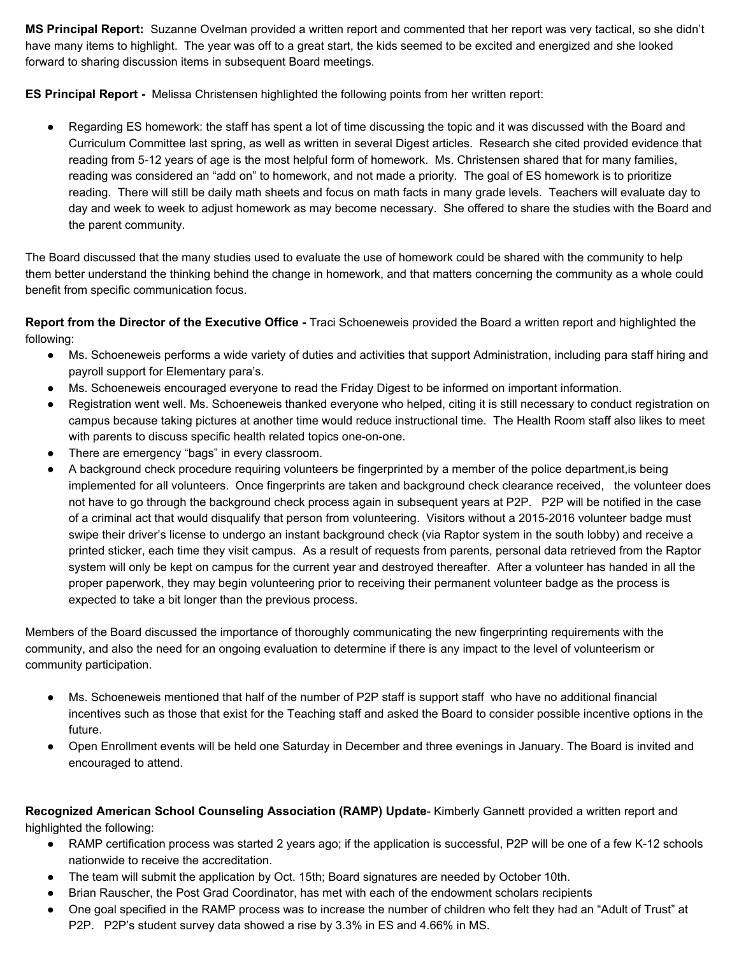**MS Principal Report:** Suzanne Ovelman provided a written report and commented that her report was very tactical, so she didn't have many items to highlight. The year was off to a great start, the kids seemed to be excited and energized and she looked forward to sharing discussion items in subsequent Board meetings.

**ES** Principal Report - Melissa Christensen highlighted the following points from her written report:

Regarding ES homework: the staff has spent a lot of time discussing the topic and it was discussed with the Board and Curriculum Committee last spring, as well as written in several Digest articles. Research she cited provided evidence that reading from 512 years of age is the most helpful form of homework. Ms. Christensen shared that for many families, reading was considered an "add on" to homework, and not made a priority. The goal of ES homework is to prioritize reading. There will still be daily math sheets and focus on math facts in many grade levels. Teachers will evaluate day to day and week to week to adjust homework as may become necessary. She offered to share the studies with the Board and the parent community.

The Board discussed that the many studies used to evaluate the use of homework could be shared with the community to help them better understand the thinking behind the change in homework, and that matters concerning the community as a whole could benefit from specific communication focus.

**Report from the Director of the Executive Office** Traci Schoeneweis provided the Board a written report and highlighted the following:

- Ms. Schoeneweis performs a wide variety of duties and activities that support Administration, including para staff hiring and payroll support for Elementary para's.
- Ms. Schoeneweis encouraged everyone to read the Friday Digest to be informed on important information.
- Registration went well. Ms. Schoeneweis thanked everyone who helped, citing it is still necessary to conduct registration on campus because taking pictures at another time would reduce instructional time. The Health Room staff also likes to meet with parents to discuss specific health related topics one-on-one.
- There are emergency "bags" in every classroom.
- A background check procedure requiring volunteers be fingerprinted by a member of the police department, is being implemented for all volunteers. Once fingerprints are taken and background check clearance received, the volunteer does not have to go through the background check process again in subsequent years at P2P. P2P will be notified in the case of a criminal act that would disqualify that person from volunteering. Visitors without a 2015-2016 volunteer badge must swipe their driver's license to undergo an instant background check (via Raptor system in the south lobby) and receive a printed sticker, each time they visit campus. As a result of requests from parents, personal data retrieved from the Raptor system will only be kept on campus for the current year and destroyed thereafter. After a volunteer has handed in all the proper paperwork, they may begin volunteering prior to receiving their permanent volunteer badge as the process is expected to take a bit longer than the previous process.

Members of the Board discussed the importance of thoroughly communicating the new fingerprinting requirements with the community, and also the need for an ongoing evaluation to determine if there is any impact to the level of volunteerism or community participation.

- Ms. Schoeneweis mentioned that half of the number of P2P staff is support staff who have no additional financial incentives such as those that exist for the Teaching staff and asked the Board to consider possible incentive options in the future.
- Open Enrollment events will be held one Saturday in December and three evenings in January. The Board is invited and encouraged to attend.

**Recognized American School Counseling Association (RAMP) Update** Kimberly Gannett provided a written report and highlighted the following:

- RAMP certification process was started 2 years ago; if the application is successful, P2P will be one of a few K12 schools nationwide to receive the accreditation.
- The team will submit the application by Oct. 15th; Board signatures are needed by October 10th.
- Brian Rauscher, the Post Grad Coordinator, has met with each of the endowment scholars recipients
- One goal specified in the RAMP process was to increase the number of children who felt they had an "Adult of Trust" at P2P. P2P's student survey data showed a rise by 3.3% in ES and 4.66% in MS.